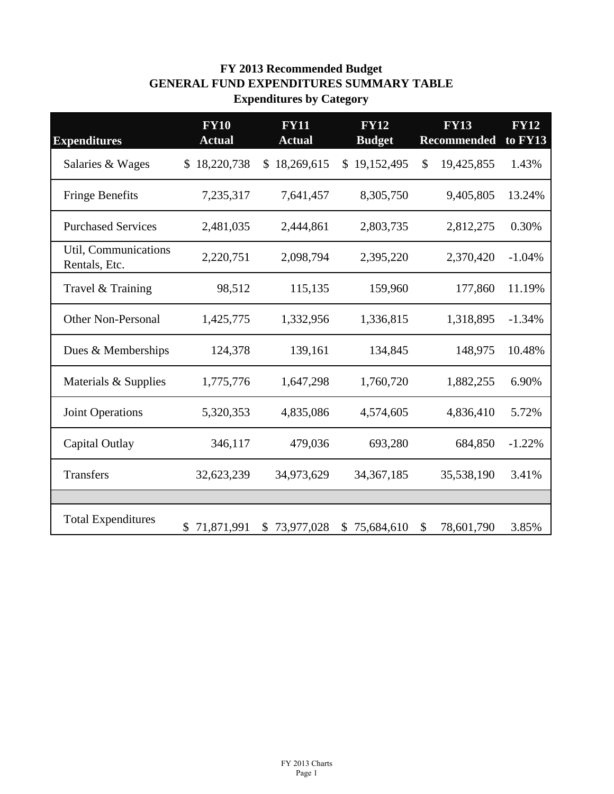## **FY 2013 Recommended Budget GENERAL FUND EXPENDITURES SUMMARY TABLE Expenditures by Category**

| <b>Expenditures</b>                   | <b>FY10</b><br><b>Actual</b> | <b>FY11</b><br><b>Actual</b> | <b>FY12</b><br><b>Budget</b> | <b>FY13</b><br><b>Recommended</b> | <b>FY12</b><br>to FY13 |
|---------------------------------------|------------------------------|------------------------------|------------------------------|-----------------------------------|------------------------|
| Salaries & Wages                      | 18,220,738<br>S.             | 18,269,615<br>S.             | \$19,152,495                 | 19,425,855<br>\$                  | 1.43%                  |
| <b>Fringe Benefits</b>                | 7,235,317                    | 7,641,457                    | 8,305,750                    | 9,405,805                         | 13.24%                 |
| <b>Purchased Services</b>             | 2,481,035                    | 2,444,861                    | 2,803,735                    | 2,812,275                         | 0.30%                  |
| Util, Communications<br>Rentals, Etc. | 2,220,751                    | 2,098,794                    | 2,395,220                    | 2,370,420                         | $-1.04%$               |
| Travel & Training                     | 98,512                       | 115,135                      | 159,960                      | 177,860                           | 11.19%                 |
| <b>Other Non-Personal</b>             | 1,425,775                    | 1,332,956                    | 1,336,815                    | 1,318,895                         | $-1.34%$               |
| Dues & Memberships                    | 124,378                      | 139,161                      | 134,845                      | 148,975                           | 10.48%                 |
| Materials & Supplies                  | 1,775,776                    | 1,647,298                    | 1,760,720                    | 1,882,255                         | 6.90%                  |
| <b>Joint Operations</b>               | 5,320,353                    | 4,835,086                    | 4,574,605                    | 4,836,410                         | 5.72%                  |
| Capital Outlay                        | 346,117                      | 479,036                      | 693,280                      | 684,850                           | $-1.22%$               |
| <b>Transfers</b>                      | 32,623,239                   | 34,973,629                   | 34, 367, 185                 | 35,538,190                        | 3.41%                  |
|                                       |                              |                              |                              |                                   |                        |
| <b>Total Expenditures</b>             | 71,871,991<br>\$             | 73,977,028<br>\$             | 75,684,610<br>\$.            | 78,601,790<br>S                   | 3.85%                  |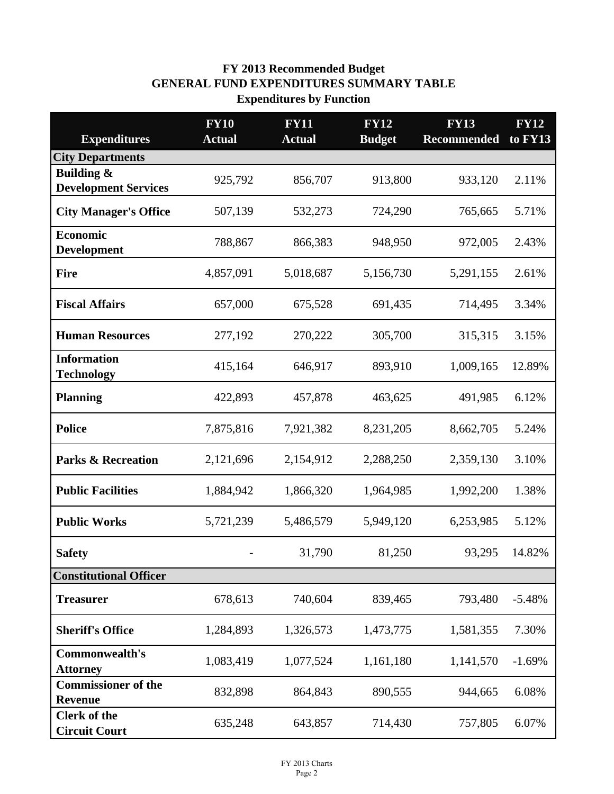## **FY 2013 Recommended Budget GENERAL FUND EXPENDITURES SUMMARY TABLE Expenditures by Function**

|                                                | <b>FY10</b><br><b>Actual</b> | <b>FY11</b><br><b>Actual</b> | <b>FY12</b><br><b>Budget</b> | <b>FY13</b><br><b>Recommended</b> | <b>FY12</b><br>to FY13 |
|------------------------------------------------|------------------------------|------------------------------|------------------------------|-----------------------------------|------------------------|
| <b>Expenditures</b><br><b>City Departments</b> |                              |                              |                              |                                   |                        |
| <b>Building &amp;</b>                          |                              |                              |                              |                                   |                        |
| <b>Development Services</b>                    | 925,792                      | 856,707                      | 913,800                      | 933,120                           | 2.11%                  |
| <b>City Manager's Office</b>                   | 507,139                      | 532,273                      | 724,290                      | 765,665                           | 5.71%                  |
| <b>Economic</b><br><b>Development</b>          | 788,867                      | 866,383                      | 948,950                      | 972,005                           | 2.43%                  |
| <b>Fire</b>                                    | 4,857,091                    | 5,018,687                    | 5,156,730                    | 5,291,155                         | 2.61%                  |
| <b>Fiscal Affairs</b>                          | 657,000                      | 675,528                      | 691,435                      | 714,495                           | 3.34%                  |
| <b>Human Resources</b>                         | 277,192                      | 270,222                      | 305,700                      | 315,315                           | 3.15%                  |
| <b>Information</b><br><b>Technology</b>        | 415,164                      | 646,917                      | 893,910                      | 1,009,165                         | 12.89%                 |
| <b>Planning</b>                                | 422,893                      | 457,878                      | 463,625                      | 491,985                           | 6.12%                  |
| <b>Police</b>                                  | 7,875,816                    | 7,921,382                    | 8,231,205                    | 8,662,705                         | 5.24%                  |
| <b>Parks &amp; Recreation</b>                  | 2,121,696                    | 2,154,912                    | 2,288,250                    | 2,359,130                         | 3.10%                  |
| <b>Public Facilities</b>                       | 1,884,942                    | 1,866,320                    | 1,964,985                    | 1,992,200                         | 1.38%                  |
| <b>Public Works</b>                            | 5,721,239                    | 5,486,579                    | 5,949,120                    | 6,253,985                         | 5.12%                  |
| <b>Safety</b>                                  |                              | 31,790                       | 81,250                       | 93,295                            | 14.82%                 |
| <b>Constitutional Officer</b>                  |                              |                              |                              |                                   |                        |
| <b>Treasurer</b>                               | 678,613                      | 740,604                      | 839,465                      | 793,480                           | $-5.48%$               |
| <b>Sheriff's Office</b>                        | 1,284,893                    | 1,326,573                    | 1,473,775                    | 1,581,355                         | 7.30%                  |
| Commonwealth's<br><b>Attorney</b>              | 1,083,419                    | 1,077,524                    | 1,161,180                    | 1,141,570                         | $-1.69%$               |
| <b>Commissioner of the</b><br><b>Revenue</b>   | 832,898                      | 864,843                      | 890,555                      | 944,665                           | 6.08%                  |
| <b>Clerk of the</b><br><b>Circuit Court</b>    | 635,248                      | 643,857                      | 714,430                      | 757,805                           | 6.07%                  |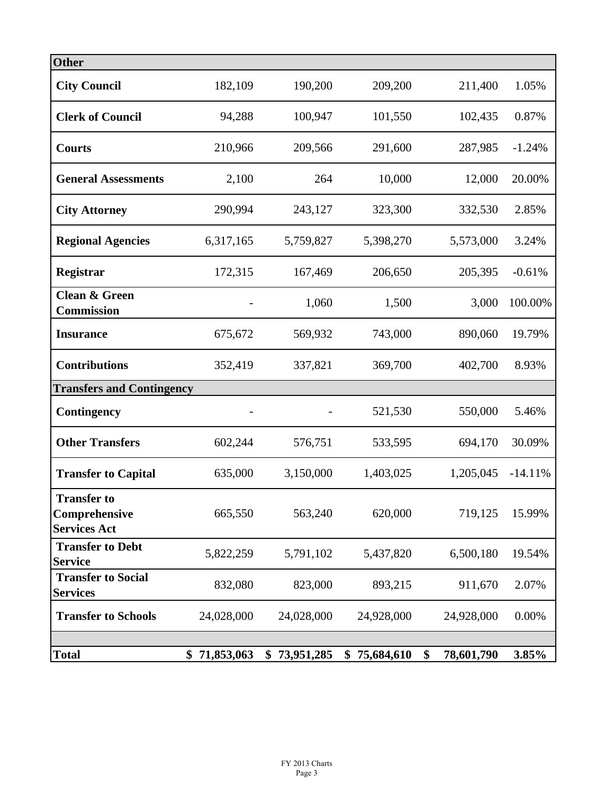| <b>Other</b>                                               |                  |                  |                  |                  |           |
|------------------------------------------------------------|------------------|------------------|------------------|------------------|-----------|
| <b>City Council</b>                                        | 182,109          | 190,200          | 209,200          | 211,400          | 1.05%     |
| <b>Clerk of Council</b>                                    | 94,288           | 100,947          | 101,550          | 102,435          | 0.87%     |
| <b>Courts</b>                                              | 210,966          | 209,566          | 291,600          | 287,985          | $-1.24%$  |
| <b>General Assessments</b>                                 | 2,100            | 264              | 10,000           | 12,000           | 20.00%    |
| <b>City Attorney</b>                                       | 290,994          | 243,127          | 323,300          | 332,530          | 2.85%     |
| <b>Regional Agencies</b>                                   | 6,317,165        | 5,759,827        | 5,398,270        | 5,573,000        | 3.24%     |
| Registrar                                                  | 172,315          | 167,469          | 206,650          | 205,395          | $-0.61%$  |
| <b>Clean &amp; Green</b><br><b>Commission</b>              |                  | 1,060            | 1,500            | 3,000            | 100.00%   |
| <b>Insurance</b>                                           | 675,672          | 569,932          | 743,000          | 890,060          | 19.79%    |
| <b>Contributions</b>                                       | 352,419          | 337,821          | 369,700          | 402,700          | 8.93%     |
| <b>Transfers and Contingency</b>                           |                  |                  |                  |                  |           |
| Contingency                                                |                  |                  | 521,530          | 550,000          | 5.46%     |
| <b>Other Transfers</b>                                     | 602,244          | 576,751          | 533,595          | 694,170          | 30.09%    |
| <b>Transfer to Capital</b>                                 | 635,000          | 3,150,000        | 1,403,025        | 1,205,045        | $-14.11%$ |
| <b>Transfer to</b><br>Comprehensive<br><b>Services Act</b> | 665,550          | 563,240          | 620,000          | 719,125          | 15.99%    |
| <b>Transfer to Debt</b><br><b>Service</b>                  | 5,822,259        | 5,791,102        | 5,437,820        | 6,500,180        | 19.54%    |
| <b>Transfer to Social</b><br><b>Services</b>               | 832,080          | 823,000          | 893,215          | 911,670          | 2.07%     |
| <b>Transfer to Schools</b>                                 | 24,028,000       | 24,028,000       | 24,928,000       | 24,928,000       | 0.00%     |
|                                                            |                  |                  |                  |                  |           |
| <b>Total</b>                                               | 71,853,063<br>\$ | 73,951,285<br>\$ | 75,684,610<br>\$ | \$<br>78,601,790 | 3.85%     |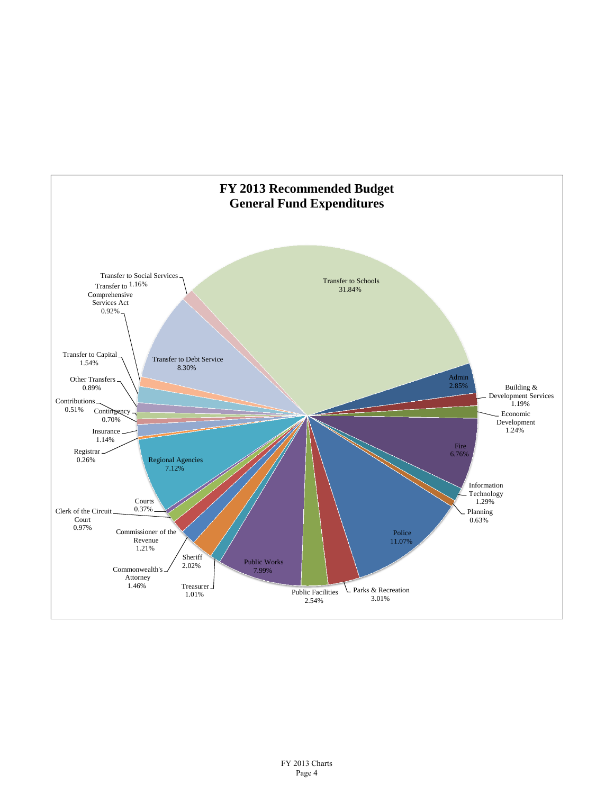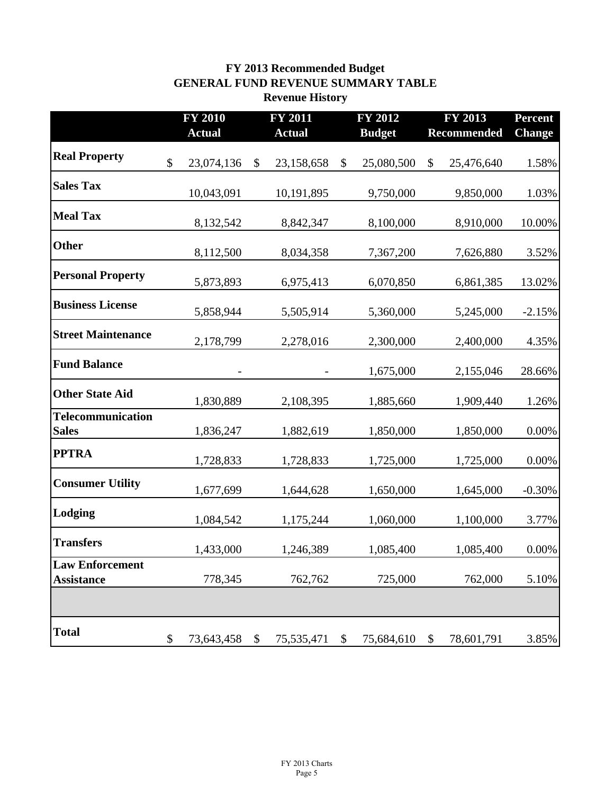## **FY 2013 Recommended Budget GENERAL FUND REVENUE SUMMARY TABLE Revenue History**

|                                             | <b>FY 2010</b>   | <b>FY 2011</b> |               |    | <b>FY 2012</b> |               | FY 2013            | <b>Percent</b> |
|---------------------------------------------|------------------|----------------|---------------|----|----------------|---------------|--------------------|----------------|
|                                             | <b>Actual</b>    |                | <b>Actual</b> |    | <b>Budget</b>  |               | <b>Recommended</b> | <b>Change</b>  |
| <b>Real Property</b>                        | \$<br>23,074,136 | \$             | 23,158,658    | \$ | 25,080,500     | \$            | 25,476,640         | 1.58%          |
| <b>Sales Tax</b>                            | 10,043,091       |                | 10,191,895    |    | 9,750,000      |               | 9,850,000          | 1.03%          |
| <b>Meal Tax</b>                             | 8,132,542        |                | 8,842,347     |    | 8,100,000      |               | 8,910,000          | 10.00%         |
| <b>Other</b>                                | 8,112,500        |                | 8,034,358     |    | 7,367,200      |               | 7,626,880          | 3.52%          |
| <b>Personal Property</b>                    | 5,873,893        |                | 6,975,413     |    | 6,070,850      |               | 6,861,385          | 13.02%         |
| <b>Business License</b>                     | 5,858,944        |                | 5,505,914     |    | 5,360,000      |               | 5,245,000          | $-2.15%$       |
| <b>Street Maintenance</b>                   | 2,178,799        |                | 2,278,016     |    | 2,300,000      |               | 2,400,000          | 4.35%          |
| <b>Fund Balance</b>                         |                  |                |               |    | 1,675,000      |               | 2,155,046          | 28.66%         |
| <b>Other State Aid</b>                      | 1,830,889        |                | 2,108,395     |    | 1,885,660      |               | 1,909,440          | 1.26%          |
| Telecommunication<br><b>Sales</b>           | 1,836,247        |                | 1,882,619     |    | 1,850,000      |               | 1,850,000          | $0.00\%$       |
| <b>PPTRA</b>                                | 1,728,833        |                | 1,728,833     |    | 1,725,000      |               | 1,725,000          | $0.00\%$       |
| <b>Consumer Utility</b>                     | 1,677,699        |                | 1,644,628     |    | 1,650,000      |               | 1,645,000          | $-0.30%$       |
| Lodging                                     | 1,084,542        |                | 1,175,244     |    | 1,060,000      |               | 1,100,000          | 3.77%          |
| <b>Transfers</b>                            | 1,433,000        |                | 1,246,389     |    | 1,085,400      |               | 1,085,400          | $0.00\%$       |
| <b>Law Enforcement</b><br><b>Assistance</b> | 778,345          |                | 762,762       |    | 725,000        |               | 762,000            | 5.10%          |
|                                             |                  |                |               |    |                |               |                    |                |
| <b>Total</b>                                | \$<br>73,643,458 | \$             | 75,535,471    | \$ | 75,684,610     | $\mathcal{S}$ | 78,601,791         | 3.85%          |